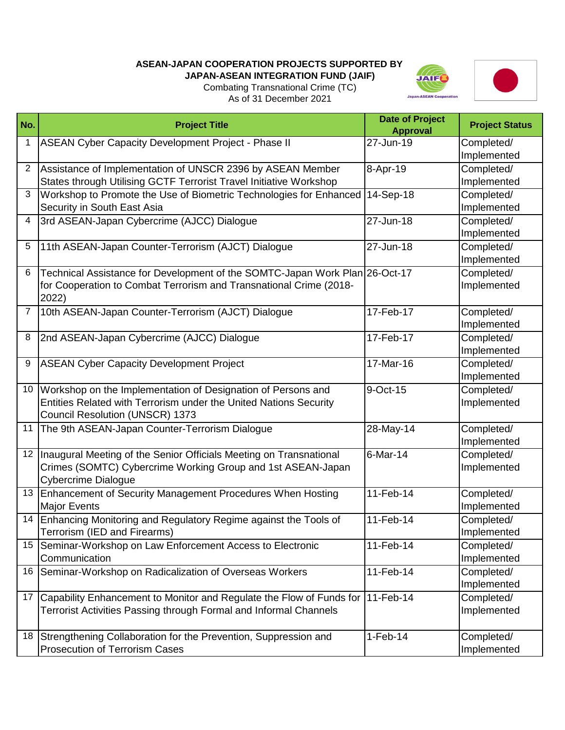**ASEAN-JAPAN COOPERATION PROJECTS SUPPORTED BY** 

**JAPAN-ASEAN INTEGRATION FUND (JAIF)**





Combating Transnational Crime (TC) As of 31 December 2021

| No.            | <b>Project Title</b>                                                              | <b>Date of Project</b><br><b>Approval</b> | <b>Project Status</b> |
|----------------|-----------------------------------------------------------------------------------|-------------------------------------------|-----------------------|
| 1              | <b>ASEAN Cyber Capacity Development Project - Phase II</b>                        | 27-Jun-19                                 | Completed/            |
|                |                                                                                   |                                           | Implemented           |
| $\overline{2}$ | Assistance of Implementation of UNSCR 2396 by ASEAN Member                        | 8-Apr-19                                  | Completed/            |
|                | States through Utilising GCTF Terrorist Travel Initiative Workshop                |                                           | Implemented           |
| 3              | Workshop to Promote the Use of Biometric Technologies for Enhanced                | 14-Sep-18                                 | Completed/            |
|                | Security in South East Asia                                                       |                                           | Implemented           |
| $\overline{4}$ | 3rd ASEAN-Japan Cybercrime (AJCC) Dialogue                                        | 27-Jun-18                                 | Completed/            |
|                |                                                                                   |                                           | Implemented           |
| 5              | 11th ASEAN-Japan Counter-Terrorism (AJCT) Dialogue                                | 27-Jun-18                                 | Completed/            |
|                |                                                                                   |                                           | Implemented           |
| 6              | Technical Assistance for Development of the SOMTC-Japan Work Plan 26-Oct-17       |                                           | Completed/            |
|                | for Cooperation to Combat Terrorism and Transnational Crime (2018-                |                                           | Implemented           |
|                | 2022)                                                                             |                                           |                       |
| $\overline{7}$ | 10th ASEAN-Japan Counter-Terrorism (AJCT) Dialogue                                | 17-Feb-17                                 | Completed/            |
|                |                                                                                   |                                           | Implemented           |
| 8              | 2nd ASEAN-Japan Cybercrime (AJCC) Dialogue                                        | 17-Feb-17                                 | Completed/            |
|                |                                                                                   |                                           | Implemented           |
| 9              | <b>ASEAN Cyber Capacity Development Project</b>                                   | 17-Mar-16                                 | Completed/            |
|                |                                                                                   |                                           | Implemented           |
|                | 10  Workshop on the Implementation of Designation of Persons and                  | 9-Oct-15                                  | Completed/            |
|                | Entities Related with Terrorism under the United Nations Security                 |                                           | Implemented           |
|                | <b>Council Resolution (UNSCR) 1373</b>                                            |                                           |                       |
|                | 11 The 9th ASEAN-Japan Counter-Terrorism Dialogue                                 | 28-May-14                                 | Completed/            |
|                |                                                                                   |                                           | Implemented           |
|                | 12   Inaugural Meeting of the Senior Officials Meeting on Transnational           | 6-Mar-14                                  | Completed/            |
|                | Crimes (SOMTC) Cybercrime Working Group and 1st ASEAN-Japan                       |                                           | Implemented           |
|                | <b>Cybercrime Dialogue</b>                                                        |                                           |                       |
|                | <b>Enhancement of Security Management Procedures When Hosting</b>                 | $11-Feb-14$                               | Completed/            |
|                | <b>Major Events</b>                                                               |                                           | Implemented           |
| 14             | Enhancing Monitoring and Regulatory Regime against the Tools of                   | 11-Feb-14                                 | Completed/            |
|                | Terrorism (IED and Firearms)                                                      |                                           | Implemented           |
|                | 15   Seminar-Workshop on Law Enforcement Access to Electronic                     | 11-Feb-14                                 | Completed/            |
|                | Communication                                                                     |                                           | Implemented           |
| 16             | Seminar-Workshop on Radicalization of Overseas Workers                            | 11-Feb-14                                 | Completed/            |
|                |                                                                                   |                                           | Implemented           |
|                | 17 Capability Enhancement to Monitor and Regulate the Flow of Funds for 11-Feb-14 |                                           | Completed/            |
|                | Terrorist Activities Passing through Formal and Informal Channels                 |                                           | Implemented           |
|                |                                                                                   |                                           |                       |
| 18             | Strengthening Collaboration for the Prevention, Suppression and                   | $1-Feb-14$                                | Completed/            |
|                | <b>Prosecution of Terrorism Cases</b>                                             |                                           | Implemented           |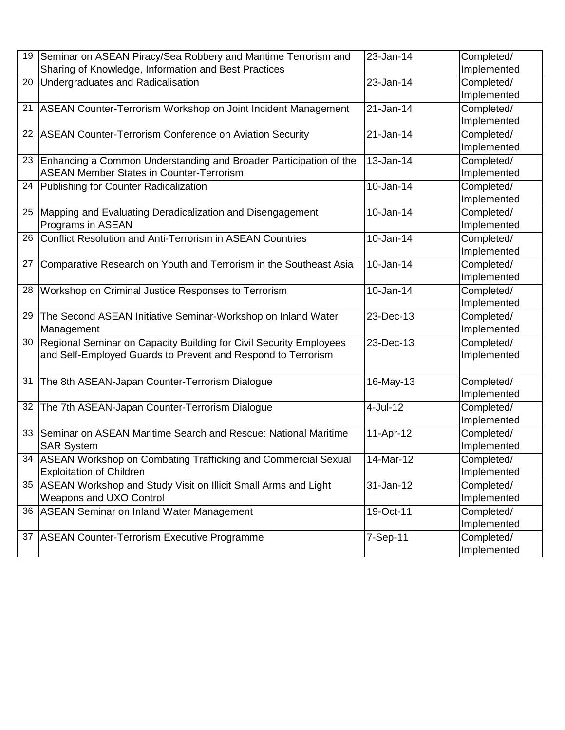|    | 19 Seminar on ASEAN Piracy/Sea Robbery and Maritime Terrorism and                                     | 23-Jan-14 | Completed/                |
|----|-------------------------------------------------------------------------------------------------------|-----------|---------------------------|
|    | Sharing of Knowledge, Information and Best Practices                                                  |           | Implemented               |
| 20 | Undergraduates and Radicalisation                                                                     | 23-Jan-14 | Completed/                |
|    |                                                                                                       |           | Implemented               |
| 21 | <b>ASEAN Counter-Terrorism Workshop on Joint Incident Management</b>                                  | 21-Jan-14 | Completed/                |
|    |                                                                                                       |           | Implemented               |
|    | 22 ASEAN Counter-Terrorism Conference on Aviation Security                                            | 21-Jan-14 | Completed/                |
|    |                                                                                                       |           | Implemented               |
|    | 23 Enhancing a Common Understanding and Broader Participation of the                                  | 13-Jan-14 | Completed/                |
|    | <b>ASEAN Member States in Counter-Terrorism</b>                                                       |           | Implemented               |
|    | 24   Publishing for Counter Radicalization                                                            | 10-Jan-14 | Completed/                |
|    |                                                                                                       |           | Implemented               |
| 25 | Mapping and Evaluating Deradicalization and Disengagement                                             | 10-Jan-14 | Completed/                |
|    | Programs in ASEAN                                                                                     |           | Implemented               |
| 26 | <b>Conflict Resolution and Anti-Terrorism in ASEAN Countries</b>                                      | 10-Jan-14 | Completed/                |
|    |                                                                                                       |           | Implemented               |
| 27 | Comparative Research on Youth and Terrorism in the Southeast Asia                                     | 10-Jan-14 | Completed/                |
|    |                                                                                                       |           | Implemented               |
| 28 | Workshop on Criminal Justice Responses to Terrorism                                                   | 10-Jan-14 | Completed/                |
|    |                                                                                                       |           | Implemented               |
| 29 | The Second ASEAN Initiative Seminar-Workshop on Inland Water                                          | 23-Dec-13 | Completed/                |
|    | Management                                                                                            |           | Implemented               |
|    | 30 Regional Seminar on Capacity Building for Civil Security Employees                                 | 23-Dec-13 | Completed/                |
|    | and Self-Employed Guards to Prevent and Respond to Terrorism                                          |           | Implemented               |
|    |                                                                                                       |           |                           |
| 31 | The 8th ASEAN-Japan Counter-Terrorism Dialogue                                                        | 16-May-13 | Completed/                |
|    |                                                                                                       |           | Implemented               |
| 32 | The 7th ASEAN-Japan Counter-Terrorism Dialogue                                                        | 4-Jul-12  | Completed/                |
|    |                                                                                                       |           | Implemented               |
| 33 | Seminar on ASEAN Maritime Search and Rescue: National Maritime                                        | 11-Apr-12 | Completed/                |
|    | <b>SAR System</b>                                                                                     |           | Implemented               |
|    | 34   ASEAN Workshop on Combating Trafficking and Commercial Sexual<br><b>Exploitation of Children</b> | 14-Mar-12 | Completed/<br>Implemented |
|    |                                                                                                       | 31-Jan-12 |                           |
|    | 35 ASEAN Workshop and Study Visit on Illicit Small Arms and Light<br><b>Weapons and UXO Control</b>   |           | Completed/<br>Implemented |
|    | 36   ASEAN Seminar on Inland Water Management                                                         | 19-Oct-11 |                           |
|    |                                                                                                       |           | Completed/<br>Implemented |
|    | 37 ASEAN Counter-Terrorism Executive Programme                                                        | 7-Sep-11  | Completed/                |
|    |                                                                                                       |           | Implemented               |
|    |                                                                                                       |           |                           |